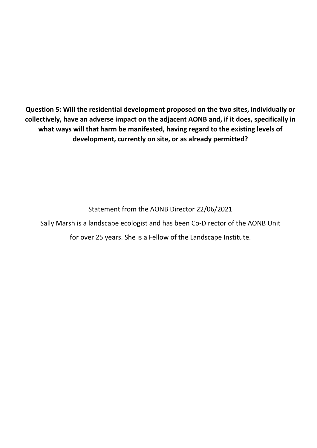**Question 5: Will the residential development proposed on the two sites, individually or collectively, have an adverse impact on the adjacent AONB and, if it does, specifically in what ways will that harm be manifested, having regard to the existing levels of development, currently on site, or as already permitted?**

Statement from the AONB Director 22/06/2021

Sally Marsh is a landscape ecologist and has been Co-Director of the AONB Unit

for over 25 years. She is a Fellow of the Landscape Institute.